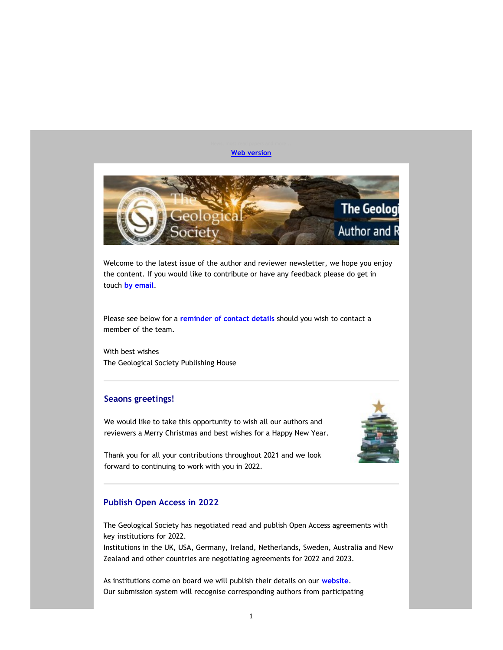### Web version



Welcome to the latest issue of the author and reviewer newsletter, we hope you enjoy the content. If you would like to contribute or have any feedback please do get in touch by email.

Please see below for a reminder of contact details should you wish to contact a member of the team.

With best wishes The Geological Society Publishing House

### Seaons greetings!

We would like to take this opportunity to wish all our authors and reviewers a Merry Christmas and best wishes for a Happy New Year.



Thank you for all your contributions throughout 2021 and we look forward to continuing to work with you in 2022.

### Publish Open Access in 2022

The Geological Society has negotiated read and publish Open Access agreements with key institutions for 2022.

Institutions in the UK, USA, Germany, Ireland, Netherlands, Sweden, Australia and New Zealand and other countries are negotiating agreements for 2022 and 2023.

As institutions come on board we will publish their details on our website. Our submission system will recognise corresponding authors from participating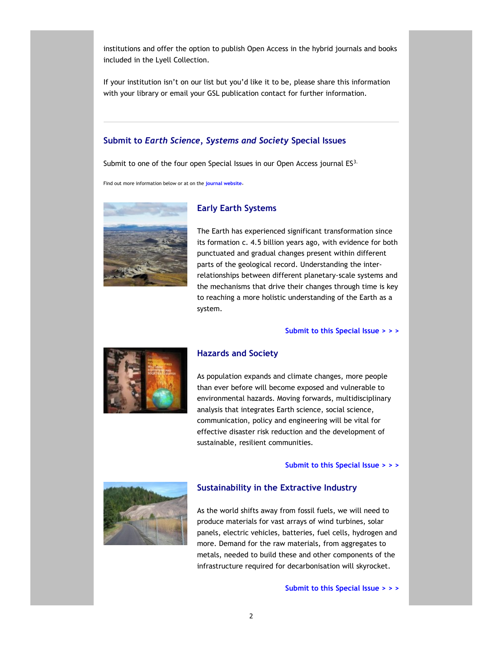institutions and offer the option to publish Open Access in the hybrid journals and books included in the Lyell Collection.

If your institution isn't on our list but you'd like it to be, please share this information with your library or email your GSL publication contact for further information.

### Submit to Earth Science, Systems and Society Special Issues

Submit to one of the four open Special Issues in our Open Access journal ES3.

Early Earth Systems

Find out more information below or at on the journal website.



The Earth has experienced significant transformation since its formation c. 4.5 billion years ago, with evidence for both punctuated and gradual changes present within different parts of the geological record. Understanding the interrelationships between different planetary-scale systems and the mechanisms that drive their changes through time is key to reaching a more holistic understanding of the Earth as a system.

### Submit to this Special Issue > > >



# Hazards and Society

As population expands and climate changes, more people than ever before will become exposed and vulnerable to environmental hazards. Moving forwards, multidisciplinary analysis that integrates Earth science, social science, communication, policy and engineering will be vital for effective disaster risk reduction and the development of sustainable, resilient communities.

Submit to this Special Issue > > >



### Sustainability in the Extractive Industry

As the world shifts away from fossil fuels, we will need to produce materials for vast arrays of wind turbines, solar panels, electric vehicles, batteries, fuel cells, hydrogen and more. Demand for the raw materials, from aggregates to metals, needed to build these and other components of the infrastructure required for decarbonisation will skyrocket.

Submit to this Special Issue > > >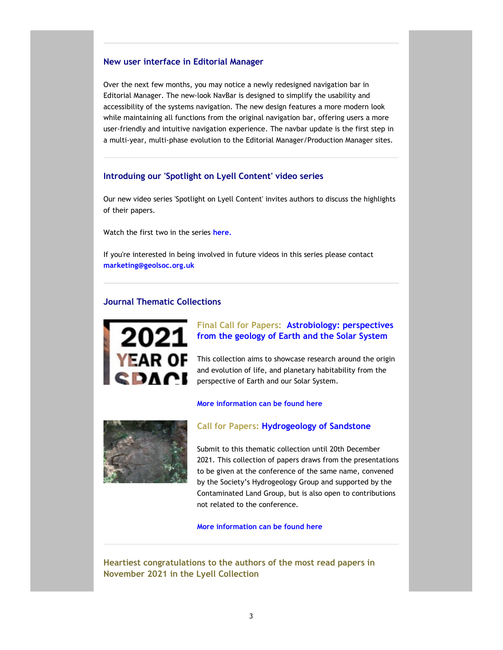### New user interface in Editorial Manager

Over the next few months, you may notice a newly redesigned navigation bar in Editorial Manager. The new-look NavBar is designed to simplify the usability and accessibility of the systems navigation. The new design features a more modern look while maintaining all functions from the original navigation bar, offering users a more user-friendly and intuitive navigation experience. The navbar update is the first step in a multi-year, multi-phase evolution to the Editorial Manager/Production Manager sites.

### Introduing our 'Spotlight on Lyell Content' video series

Our new video series 'Spotlight on Lyell Content' invites authors to discuss the highlights of their papers.

Watch the first two in the series here.

If you're interested in being involved in future videos in this series please contact marketing@geolsoc.org.uk

### Journal Thematic Collections



# Final Call for Papers: Astrobiology: perspectives from the geology of Earth and the Solar System

This collection aims to showcase research around the origin and evolution of life, and planetary habitability from the perspective of Earth and our Solar System.

### More information can be found here



### Call for Papers: Hydrogeology of Sandstone

Submit to this thematic collection until 20th December 2021. This collection of papers draws from the presentations to be given at the conference of the same name, convened by the Society's Hydrogeology Group and supported by the Contaminated Land Group, but is also open to contributions not related to the conference.

More information can be found here

Heartiest congratulations to the authors of the most read papers in November 2021 in the Lyell Collection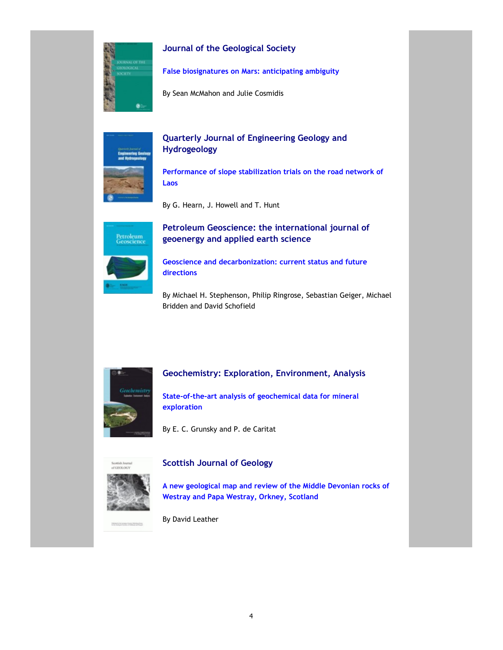

# Journal of the Geological Society

False biosignatures on Mars: anticipating ambiguity

By Sean McMahon and Julie Cosmidis



# Quarterly Journal of Engineering Geology and Hydrogeology

Performance of slope stabilization trials on the road network of Laos

By G. Hearn, J. Howell and T. Hunt



# Petroleum Geoscience: the international journal of geoenergy and applied earth science

Geoscience and decarbonization: current status and future directions

By Michael H. Stephenson, Philip Ringrose, Sebastian Geiger, Michael Bridden and David Schofield



# Geochemistry: Exploration, Environment, Analysis

State-of-the-art analysis of geochemical data for mineral exploration

By E. C. Grunsky and P. de Caritat



**THEN'S ACROSS THE PERSON** 

# Scottish Journal of Geology

A new geological map and review of the Middle Devonian rocks of Westray and Papa Westray, Orkney, Scotland

By David Leather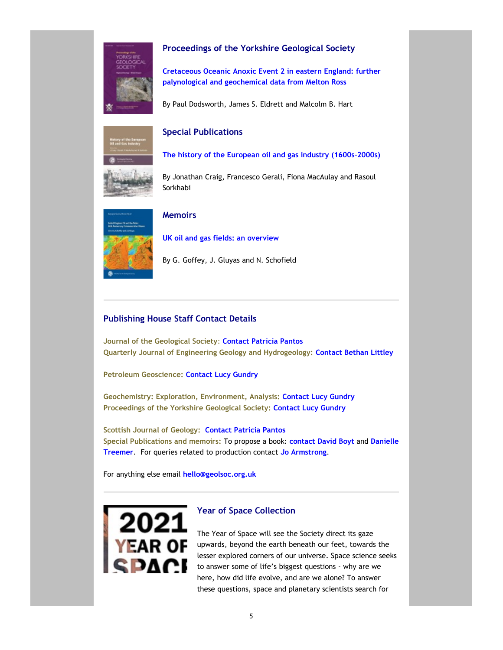

# Proceedings of the Yorkshire Geological Society

Cretaceous Oceanic Anoxic Event 2 in eastern England: further palynological and geochemical data from Melton Ross

By Paul Dodsworth, James S. Eldrett and Malcolm B. Hart

# itory of the Europ<br>Land Gas Industry

# Special Publications

The history of the European oil and gas industry (1600s–2000s)

By Jonathan Craig, Francesco Gerali, Fiona MacAulay and Rasoul Sorkhabi



### Memoirs

UK oil and gas fields: an overview

By G. Goffey, J. Gluyas and N. Schofield

# Publishing House Staff Contact Details

Journal of the Geological Society: Contact Patricia Pantos Quarterly Journal of Engineering Geology and Hydrogeology: Contact Bethan Littley

Petroleum Geoscience: Contact Lucy Gundry

Geochemistry: Exploration, Environment, Analysis: Contact Lucy Gundry Proceedings of the Yorkshire Geological Society: Contact Lucy Gundry

Scottish Journal of Geology: Contact Patricia Pantos Special Publications and memoirs: To propose a book: contact David Boyt and Danielle Treemer. For queries related to production contact Jo Armstrong.

For anything else email hello@geolsoc.org.uk



# Year of Space Collection

The Year of Space will see the Society direct its gaze upwards, beyond the earth beneath our feet, towards the lesser explored corners of our universe. Space science seeks to answer some of life's biggest questions - why are we here, how did life evolve, and are we alone? To answer these questions, space and planetary scientists search for